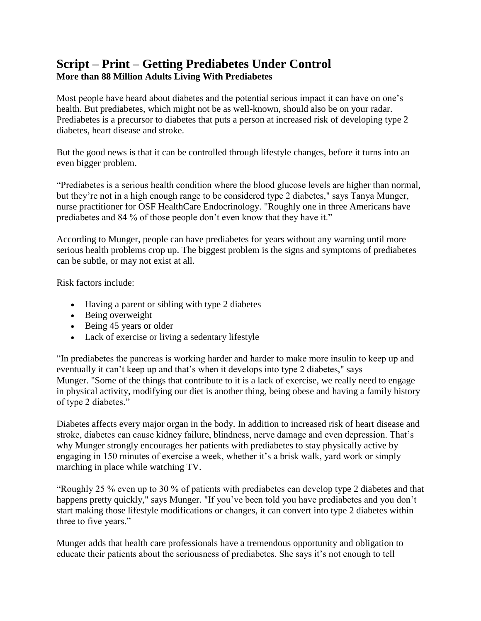## **Script – Print – Getting Prediabetes Under Control More than 88 Million Adults Living With Prediabetes**

Most people have heard about diabetes and the potential serious impact it can have on one's health. But prediabetes, which might not be as well-known, should also be on your radar. Prediabetes is a precursor to diabetes that puts a person at increased risk of developing type 2 diabetes, heart disease and stroke.

But the good news is that it can be controlled through lifestyle changes, before it turns into an even bigger problem.

"Prediabetes is a serious health condition where the blood glucose levels are higher than normal, but they're not in a high enough range to be considered type 2 diabetes," says Tanya Munger, nurse practitioner for OSF HealthCare Endocrinology. "Roughly one in three Americans have prediabetes and 84 % of those people don't even know that they have it."

According to Munger, people can have prediabetes for years without any warning until more serious health problems crop up. The biggest problem is the signs and symptoms of prediabetes can be subtle, or may not exist at all.

Risk factors include:

- Having a parent or sibling with type 2 diabetes
- Being overweight
- Being 45 years or older
- Lack of exercise or living a sedentary lifestyle

"In prediabetes the pancreas is working harder and harder to make more insulin to keep up and eventually it can't keep up and that's when it develops into type 2 diabetes," says Munger. "Some of the things that contribute to it is a lack of exercise, we really need to engage in physical activity, modifying our diet is another thing, being obese and having a family history of type 2 diabetes."

Diabetes affects every major organ in the body. In addition to increased risk of heart disease and stroke, diabetes can cause kidney failure, blindness, nerve damage and even depression. That's why Munger strongly encourages her patients with prediabetes to stay physically active by engaging in 150 minutes of exercise a week, whether it's a brisk walk, yard work or simply marching in place while watching TV.

"Roughly 25 % even up to 30 % of patients with prediabetes can develop type 2 diabetes and that happens pretty quickly," says Munger. "If you've been told you have prediabetes and you don't start making those lifestyle modifications or changes, it can convert into type 2 diabetes within three to five years."

Munger adds that health care professionals have a tremendous opportunity and obligation to educate their patients about the seriousness of prediabetes. She says it's not enough to tell